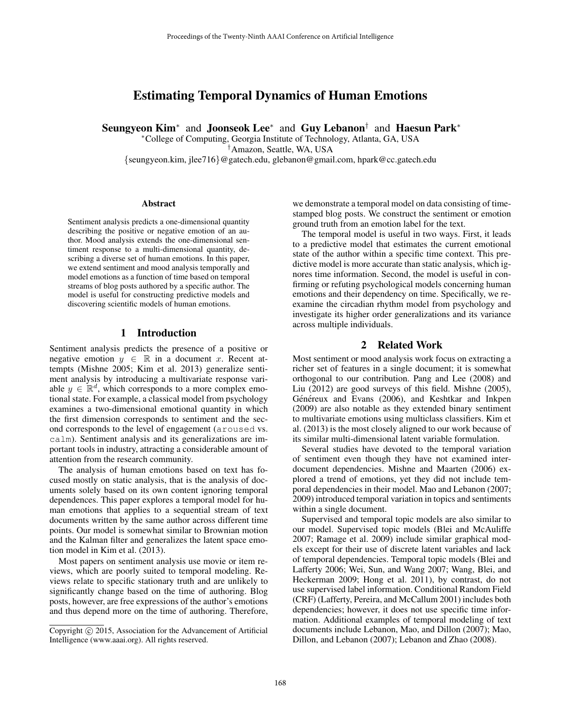# Estimating Temporal Dynamics of Human Emotions

Seungyeon Kim<sup>∗</sup> and Joonseok Lee<sup>∗</sup> and Guy Lebanon<sup>†</sup> and Haesun Park<sup>∗</sup>

<sup>∗</sup>College of Computing, Georgia Institute of Technology, Atlanta, GA, USA †Amazon, Seattle, WA, USA {seungyeon.kim, jlee716}@gatech.edu, glebanon@gmail.com, hpark@cc.gatech.edu

#### Abstract

Sentiment analysis predicts a one-dimensional quantity describing the positive or negative emotion of an author. Mood analysis extends the one-dimensional sentiment response to a multi-dimensional quantity, describing a diverse set of human emotions. In this paper, we extend sentiment and mood analysis temporally and model emotions as a function of time based on temporal streams of blog posts authored by a specific author. The model is useful for constructing predictive models and discovering scientific models of human emotions.

### 1 Introduction

Sentiment analysis predicts the presence of a positive or negative emotion  $y \in \mathbb{R}$  in a document x. Recent attempts (Mishne 2005; Kim et al. 2013) generalize sentiment analysis by introducing a multivariate response variable  $y \in \mathbb{R}^d$ , which corresponds to a more complex emotional state. For example, a classical model from psychology examines a two-dimensional emotional quantity in which the first dimension corresponds to sentiment and the second corresponds to the level of engagement (aroused vs. calm). Sentiment analysis and its generalizations are important tools in industry, attracting a considerable amount of attention from the research community.

The analysis of human emotions based on text has focused mostly on static analysis, that is the analysis of documents solely based on its own content ignoring temporal dependences. This paper explores a temporal model for human emotions that applies to a sequential stream of text documents written by the same author across different time points. Our model is somewhat similar to Brownian motion and the Kalman filter and generalizes the latent space emotion model in Kim et al. (2013).

Most papers on sentiment analysis use movie or item reviews, which are poorly suited to temporal modeling. Reviews relate to specific stationary truth and are unlikely to significantly change based on the time of authoring. Blog posts, however, are free expressions of the author's emotions and thus depend more on the time of authoring. Therefore,

we demonstrate a temporal model on data consisting of timestamped blog posts. We construct the sentiment or emotion ground truth from an emotion label for the text.

The temporal model is useful in two ways. First, it leads to a predictive model that estimates the current emotional state of the author within a specific time context. This predictive model is more accurate than static analysis, which ignores time information. Second, the model is useful in confirming or refuting psychological models concerning human emotions and their dependency on time. Specifically, we reexamine the circadian rhythm model from psychology and investigate its higher order generalizations and its variance across multiple individuals.

## 2 Related Work

Most sentiment or mood analysis work focus on extracting a richer set of features in a single document; it is somewhat orthogonal to our contribution. Pang and Lee (2008) and Liu (2012) are good surveys of this field. Mishne (2005), Généreux and Evans (2006), and Keshtkar and Inkpen (2009) are also notable as they extended binary sentiment to multivariate emotions using multiclass classifiers. Kim et al. (2013) is the most closely aligned to our work because of its similar multi-dimensional latent variable formulation.

Several studies have devoted to the temporal variation of sentiment even though they have not examined interdocument dependencies. Mishne and Maarten (2006) explored a trend of emotions, yet they did not include temporal dependencies in their model. Mao and Lebanon (2007; 2009) introduced temporal variation in topics and sentiments within a single document.

Supervised and temporal topic models are also similar to our model. Supervised topic models (Blei and McAuliffe 2007; Ramage et al. 2009) include similar graphical models except for their use of discrete latent variables and lack of temporal dependencies. Temporal topic models (Blei and Lafferty 2006; Wei, Sun, and Wang 2007; Wang, Blei, and Heckerman 2009; Hong et al. 2011), by contrast, do not use supervised label information. Conditional Random Field (CRF) (Lafferty, Pereira, and McCallum 2001) includes both dependencies; however, it does not use specific time information. Additional examples of temporal modeling of text documents include Lebanon, Mao, and Dillon (2007); Mao, Dillon, and Lebanon (2007); Lebanon and Zhao (2008).

Copyright (c) 2015, Association for the Advancement of Artificial Intelligence (www.aaai.org). All rights reserved.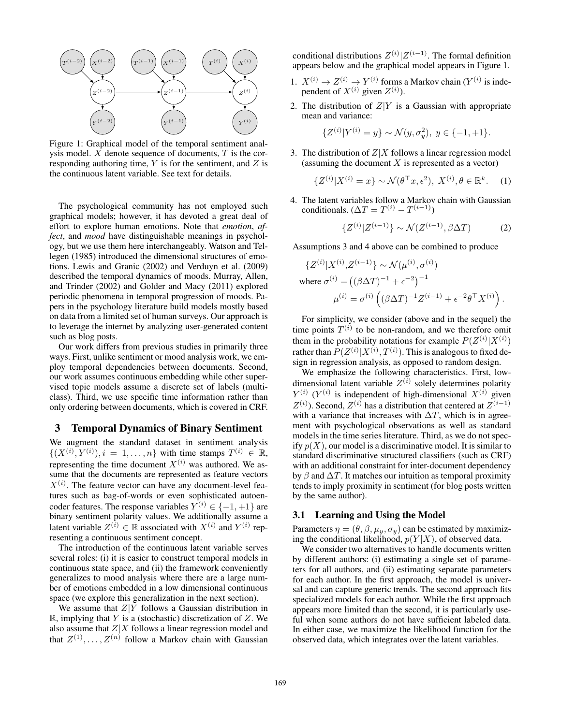

Figure 1: Graphical model of the temporal sentiment analysis model.  $X$  denote sequence of documents,  $T$  is the corresponding authoring time,  $Y$  is for the sentiment, and  $Z$  is the continuous latent variable. See text for details.

The psychological community has not employed such graphical models; however, it has devoted a great deal of effort to explore human emotions. Note that *emotion*, *affect*, and *mood* have distinguishable meanings in psychology, but we use them here interchangeably. Watson and Tellegen (1985) introduced the dimensional structures of emotions. Lewis and Granic (2002) and Verduyn et al. (2009) described the temporal dynamics of moods. Murray, Allen, and Trinder (2002) and Golder and Macy (2011) explored periodic phenomena in temporal progression of moods. Papers in the psychology literature build models mostly based on data from a limited set of human surveys. Our approach is to leverage the internet by analyzing user-generated content such as blog posts.

Our work differs from previous studies in primarily three ways. First, unlike sentiment or mood analysis work, we employ temporal dependencies between documents. Second, our work assumes continuous embedding while other supervised topic models assume a discrete set of labels (multiclass). Third, we use specific time information rather than only ordering between documents, which is covered in CRF.

#### 3 Temporal Dynamics of Binary Sentiment

We augment the standard dataset in sentiment analysis  $\{(X^{(i)}, Y^{(i)}), i = 1, \ldots, n\}$  with time stamps  $T^{(i)} \in \mathbb{R}$ , representing the time document  $X^{(i)}$  was authored. We assume that the documents are represented as feature vectors  $X^{(i)}$ . The feature vector can have any document-level features such as bag-of-words or even sophisticated autoencoder features. The response variables  $Y^{(i)} \in \{-1, +1\}$  are binary sentiment polarity values. We additionally assume a latent variable  $Z^{(i)} \in \mathbb{R}$  associated with  $X^{(i)}$  and  $Y^{(i)}$  representing a continuous sentiment concept.

The introduction of the continuous latent variable serves several roles: (i) it is easier to construct temporal models in continuous state space, and (ii) the framework conveniently generalizes to mood analysis where there are a large number of emotions embedded in a low dimensional continuous space (we explore this generalization in the next section).

We assume that  $Z|Y$  follows a Gaussian distribution in  $\mathbb{R}$ , implying that Y is a (stochastic) discretization of Z. We also assume that  $Z|X$  follows a linear regression model and that  $Z^{(1)}, \ldots, Z^{(n)}$  follow a Markov chain with Gaussian

conditional distributions  $Z^{(i)}|Z^{(i-1)}$ . The formal definition appears below and the graphical model appears in Figure 1.

- 1.  $X^{(i)} \rightarrow Z^{(i)} \rightarrow Y^{(i)}$  forms a Markov chain  $(Y^{(i)}$  is independent of  $X^{(i)}$  given  $Z^{(i)}$ ).
- 2. The distribution of  $Z|Y$  is a Gaussian with appropriate mean and variance:

$$
\{Z^{(i)}|Y^{(i)} = y\} \sim \mathcal{N}(y, \sigma_y^2), \ y \in \{-1, +1\}.
$$

3. The distribution of  $Z|X$  follows a linear regression model (assuming the document  $X$  is represented as a vector)

$$
\{Z^{(i)}|X^{(i)} = x\} \sim \mathcal{N}(\theta^{\top}x, \epsilon^2), \ X^{(i)}, \theta \in \mathbb{R}^k. \tag{1}
$$

4. The latent variables follow a Markov chain with Gaussian conditionals.  $(\Delta T = T^{(i)} - T^{(i-1)})$ 

$$
\{Z^{(i)}|Z^{(i-1)}\} \sim \mathcal{N}(Z^{(i-1)}, \beta \Delta T) \tag{2}
$$

Assumptions 3 and 4 above can be combined to produce

$$
\{Z^{(i)}|X^{(i)}, Z^{(i-1)}\} \sim \mathcal{N}(\mu^{(i)}, \sigma^{(i)})
$$
  
where  $\sigma^{(i)} = ((\beta \Delta T)^{-1} + \epsilon^{-2})^{-1}$   
 $\mu^{(i)} = \sigma^{(i)} ((\beta \Delta T)^{-1} Z^{(i-1)} + \epsilon^{-2} \theta^{\top} X^{(i)}).$ 

For simplicity, we consider (above and in the sequel) the time points  $T^{(i)}$  to be non-random, and we therefore omit them in the probability notations for example  $P(Z^{(i)}|X^{(i)})$ rather than  $P(Z^{(i)} | X^{(i)}, T^{(i)})$ . This is analogous to fixed design in regression analysis, as opposed to random design.

We emphasize the following characteristics. First, lowdimensional latent variable  $Z^{(i)}$  solely determines polarity  $Y^{(i)}$  ( $Y^{(i)}$  is independent of high-dimensional  $X^{(i)}$  given  $Z^{(i)}$ ). Second,  $Z^{(i)}$  has a distribution that centered at  $Z^{(i-1)}$ with a variance that increases with  $\Delta T$ , which is in agreement with psychological observations as well as standard models in the time series literature. Third, as we do not specify  $p(X)$ , our model is a discriminative model. It is similar to standard discriminative structured classifiers (such as CRF) with an additional constraint for inter-document dependency by  $\beta$  and  $\Delta T$ . It matches our intuition as temporal proximity tends to imply proximity in sentiment (for blog posts written by the same author).

#### 3.1 Learning and Using the Model

Parameters  $\eta = (\theta, \beta, \mu_y, \sigma_y)$  can be estimated by maximizing the conditional likelihood,  $p(Y|X)$ , of observed data.

We consider two alternatives to handle documents written by different authors: (i) estimating a single set of parameters for all authors, and (ii) estimating separate parameters for each author. In the first approach, the model is universal and can capture generic trends. The second approach fits specialized models for each author. While the first approach appears more limited than the second, it is particularly useful when some authors do not have sufficient labeled data. In either case, we maximize the likelihood function for the observed data, which integrates over the latent variables.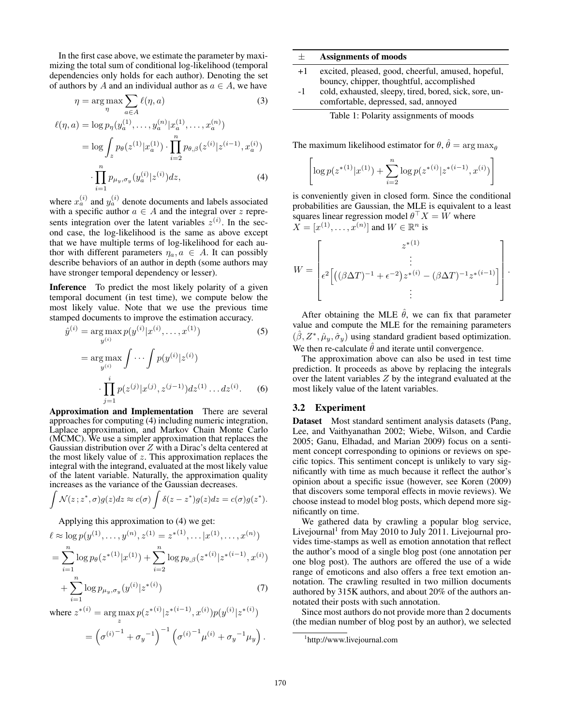In the first case above, we estimate the parameter by maximizing the total sum of conditional log-likelihood (temporal dependencies only holds for each author). Denoting the set of authors by A and an individual author as  $a \in A$ , we have

$$
\eta = \arg \max_{\eta} \sum_{a \in A} \ell(\eta, a)
$$
(3)  

$$
\ell(\eta, a) = \log p_{\eta}(y_a^{(1)}, \dots, y_a^{(n)} | x_a^{(1)}, \dots, x_a^{(n)})
$$

$$
= \log \int_z p_{\theta}(z^{(1)} | x_a^{(1)}) \cdot \prod_{i=2}^n p_{\theta, \beta}(z^{(i)} | z^{(i-1)}, x_a^{(i)})
$$

$$
\cdot \prod_{i=1}^{n} p_{\mu_y, \sigma_y}(y_a^{(i)} | z^{(i)}) dz,
$$
\n(4)

where  $x_a^{(i)}$  and  $y_a^{(i)}$  denote documents and labels associated with a specific author  $a \in A$  and the integral over z represents integration over the latent variables  $z^{(i)}$ . In the second case, the log-likelihood is the same as above except that we have multiple terms of log-likelihood for each author with different parameters  $\eta_a, a \in A$ . It can possibly describe behaviors of an author in depth (some authors may have stronger temporal dependency or lesser).

Inference To predict the most likely polarity of a given temporal document (in test time), we compute below the most likely value. Note that we use the previous time stamped documents to improve the estimation accuracy.

$$
\hat{y}^{(i)} = \arg \max_{y^{(i)}} p(y^{(i)} | x^{(i)}, \dots, x^{(1)})
$$
(5)  

$$
= \arg \max_{y^{(i)}} \int \dots \int p(y^{(i)} | z^{(i)})
$$
  

$$
\cdot \prod_{j=1}^{i} p(z^{(j)} | x^{(j)}, z^{(j-1)}) dz^{(1)} \dots dz^{(i)}.
$$
(6)

Approximation and Implementation There are several approaches for computing (4) including numeric integration, Laplace approximation, and Markov Chain Monte Carlo (MCMC). We use a simpler approximation that replaces the Gaussian distribution over  $Z$  with a Dirac's delta centered at the most likely value of  $z$ . This approximation replaces the integral with the integrand, evaluated at the most likely value of the latent variable. Naturally, the approximation quality increases as the variance of the Gaussian decreases.

$$
\int \mathcal{N}(z; z^*, \sigma) g(z) dz \approx c(\sigma) \int \delta(z - z^*) g(z) dz = c(\sigma) g(z^*).
$$

Applying this approximation to (4) we get:

$$
\ell \approx \log p(y^{(1)}, \dots, y^{(n)}, z^{(1)} = z^{*(1)}, \dots | x^{(1)}, \dots, x^{(n)})
$$
  
= 
$$
\sum_{i=1}^{n} \log p_{\theta}(z^{*(1)} | x^{(1)}) + \sum_{i=2}^{n} \log p_{\theta, \beta}(z^{*(i)} | z^{*(i-1)}, x^{(i)})
$$
  
+ 
$$
\sum_{i=1}^{n} \log p_{\mu_y, \sigma_y}(y^{(i)} | z^{*(i)})
$$
(7)

where  $z^{*(i)} = \arg \max_{z} p(z^{*(i)} | z^{*(i-1)}, x^{(i)}) p(y^{(i)} | z^{*(i)})$ 

$$
= \left(\sigma^{(i)^{-1}} + \sigma_y^{-1}\right)^{-1} \left(\sigma^{(i)^{-1}} \mu^{(i)} + \sigma_y^{-1} \mu_y\right).
$$

| $\pm$ | <b>Assignments of moods</b> |  |
|-------|-----------------------------|--|
|-------|-----------------------------|--|

- +1 excited, pleased, good, cheerful, amused, hopeful, bouncy, chipper, thoughtful, accomplished
- -1 cold, exhausted, sleepy, tired, bored, sick, sore, uncomfortable, depressed, sad, annoyed



The maximum likelihood estimator for  $\theta$ ,  $\hat{\theta} = \arg \max_{\theta}$ 

$$
\left[ \log p(z^{*(1)}|x^{(1)}) + \sum_{i=2}^{n} \log p(z^{*(i)}|z^{*(i-1)}, x^{(i)}) \right]
$$

is conveniently given in closed form. Since the conditional probabilities are Gaussian, the MLE is equivalent to a least squares linear regression model  $\theta$ <sup>T</sup> $X = \bar{W}$  where  $X = [x^{(1)}, \dots, x^{(n)}]$  and  $W \in \mathbb{R}^n$  is

$$
W = \begin{bmatrix} z^{*(1)} \\ \vdots \\ \epsilon^2 \Big[ \big( (\beta \Delta T)^{-1} + \epsilon^{-2} \big) z^{*(i)} - (\beta \Delta T)^{-1} z^{*(i-1)} \Big] \\ \vdots \end{bmatrix}.
$$

After obtaining the MLE  $\hat{\theta}$ , we can fix that parameter value and compute the MLE for the remaining parameters  $(\hat{\beta}, Z^*, \hat{\mu}_y, \hat{\sigma}_y)$  using standard gradient based optimization. We then re-calculate  $\hat{\theta}$  and iterate until convergence.

The approximation above can also be used in test time prediction. It proceeds as above by replacing the integrals over the latent variables Z by the integrand evaluated at the most likely value of the latent variables.

#### 3.2 Experiment

Dataset Most standard sentiment analysis datasets (Pang, Lee, and Vaithyanathan 2002; Wiebe, Wilson, and Cardie 2005; Ganu, Elhadad, and Marian 2009) focus on a sentiment concept corresponding to opinions or reviews on specific topics. This sentiment concept is unlikely to vary significantly with time as much because it reflect the author's opinion about a specific issue (however, see Koren (2009) that discovers some temporal effects in movie reviews). We choose instead to model blog posts, which depend more significantly on time.

We gathered data by crawling a popular blog service, Livejournal<sup>1</sup> from May 2010 to July 2011. Livejournal provides time-stamps as well as emotion annotation that reflect the author's mood of a single blog post (one annotation per one blog post). The authors are offered the use of a wide range of emoticons and also offers a free text emotion annotation. The crawling resulted in two million documents authored by 315K authors, and about 20% of the authors annotated their posts with such annotation.

Since most authors do not provide more than 2 documents (the median number of blog post by an author), we selected

<sup>1</sup> http://www.livejournal.com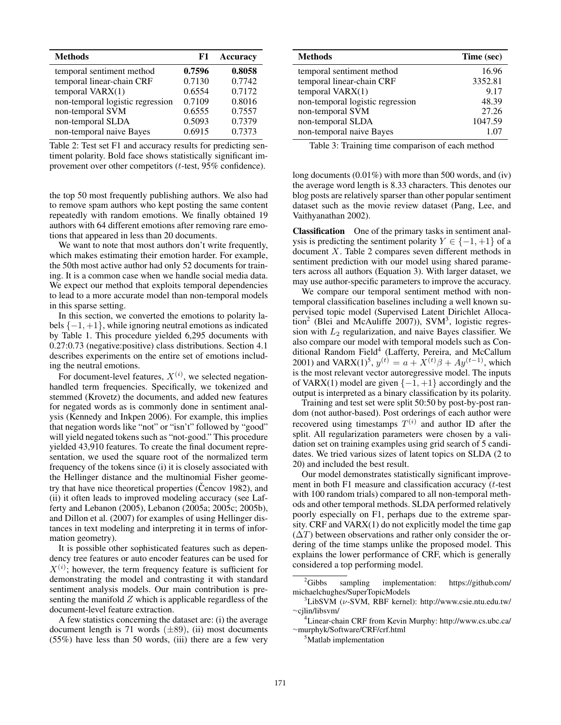| <b>Methods</b>                   | F1     | <b>Accuracy</b> |
|----------------------------------|--------|-----------------|
| temporal sentiment method        | 0.7596 | 0.8058          |
| temporal linear-chain CRF        | 0.7130 | 0.7742          |
| temporal $VARX(1)$               | 0.6554 | 0.7172          |
| non-temporal logistic regression | 0.7109 | 0.8016          |
| non-temporal SVM                 | 0.6555 | 0.7557          |
| non-temporal SLDA                | 0.5093 | 0.7379          |
| non-temporal naive Bayes         | 0.6915 | 0.7373          |

Table 2: Test set F1 and accuracy results for predicting sentiment polarity. Bold face shows statistically significant improvement over other competitors (t-test, 95% confidence).

the top 50 most frequently publishing authors. We also had to remove spam authors who kept posting the same content repeatedly with random emotions. We finally obtained 19 authors with 64 different emotions after removing rare emotions that appeared in less than 20 documents.

We want to note that most authors don't write frequently, which makes estimating their emotion harder. For example, the 50th most active author had only 52 documents for training. It is a common case when we handle social media data. We expect our method that exploits temporal dependencies to lead to a more accurate model than non-temporal models in this sparse setting.

In this section, we converted the emotions to polarity labels  $\{-1, +1\}$ , while ignoring neutral emotions as indicated by Table 1. This procedure yielded 6,295 documents with 0.27:0.73 (negative:positive) class distributions. Section 4.1 describes experiments on the entire set of emotions including the neutral emotions.

For document-level features,  $X^{(i)}$ , we selected negationhandled term frequencies. Specifically, we tokenized and stemmed (Krovetz) the documents, and added new features for negated words as is commonly done in sentiment analysis (Kennedy and Inkpen 2006). For example, this implies that negation words like "not" or "isn't" followed by "good" will yield negated tokens such as "not-good." This procedure yielded 43,910 features. To create the final document representation, we used the square root of the normalized term frequency of the tokens since (i) it is closely associated with the Hellinger distance and the multinomial Fisher geometry that have nice theoretical properties (Cencov 1982), and (ii) it often leads to improved modeling accuracy (see Lafferty and Lebanon (2005), Lebanon (2005a; 2005c; 2005b), and Dillon et al. (2007) for examples of using Hellinger distances in text modeling and interpreting it in terms of information geometry).

It is possible other sophisticated features such as dependency tree features or auto encoder features can be used for  $X^{(i)}$ ; however, the term frequency feature is sufficient for demonstrating the model and contrasting it with standard sentiment analysis models. Our main contribution is presenting the manifold  $Z$  which is applicable regardless of the document-level feature extraction.

A few statistics concerning the dataset are: (i) the average document length is 71 words  $(\pm 89)$ , (ii) most documents (55%) have less than 50 words, (iii) there are a few very

| <b>Methods</b>                   | Time (sec) |
|----------------------------------|------------|
| temporal sentiment method        | 16.96      |
| temporal linear-chain CRF        | 3352.81    |
| temporal VARX(1)                 | 9.17       |
| non-temporal logistic regression | 48.39      |
| non-temporal SVM                 | 27.26      |
| non-temporal SLDA                | 1047.59    |
| non-temporal naive Bayes         | 1.07       |

Table 3: Training time comparison of each method

long documents (0.01%) with more than 500 words, and (iv) the average word length is 8.33 characters. This denotes our blog posts are relatively sparser than other popular sentiment dataset such as the movie review dataset (Pang, Lee, and Vaithyanathan 2002).

Classification One of the primary tasks in sentiment analysis is predicting the sentiment polarity  $Y \in \{-1, +1\}$  of a document X. Table 2 compares seven different methods in sentiment prediction with our model using shared parameters across all authors (Equation 3). With larger dataset, we may use author-specific parameters to improve the accuracy.

We compare our temporal sentiment method with nontemporal classification baselines including a well known supervised topic model (Supervised Latent Dirichlet Alloca- $\text{tion}^2$  (Blei and McAuliffe 2007)), SVM<sup>3</sup>, logistic regression with  $L_2$  regularization, and naive Bayes classifier. We also compare our model with temporal models such as Conditional Random Field<sup>4</sup> (Lafferty, Pereira, and McCallum 2001) and VARX(1)<sup>5</sup>,  $y^{(t)} = a + X^{(t)}\beta + Ay^{(t-1)}$ , which is the most relevant vector autoregressive model. The inputs of VARX(1) model are given  $\{-1, +1\}$  accordingly and the output is interpreted as a binary classification by its polarity.

Training and test set were split 50:50 by post-by-post random (not author-based). Post orderings of each author were recovered using timestamps  $T^{(i)}$  and author ID after the split. All regularization parameters were chosen by a validation set on training examples using grid search of 5 candidates. We tried various sizes of latent topics on SLDA (2 to 20) and included the best result.

Our model demonstrates statistically significant improvement in both F1 measure and classification accuracy (t-test with 100 random trials) compared to all non-temporal methods and other temporal methods. SLDA performed relatively poorly especially on F1, perhaps due to the extreme sparsity. CRF and VARX(1) do not explicitly model the time gap  $(\Delta T)$  between observations and rather only consider the ordering of the time stamps unlike the proposed model. This explains the lower performance of CRF, which is generally considered a top performing model.

<sup>5</sup>Matlab implementation

 ${}^{2}$ Gibbs sampling implementation: https://github.com/ michaelchughes/SuperTopicModels

 $3$ LibSVM ( $\nu$ -SVM, RBF kernel): http://www.csie.ntu.edu.tw/ <sup>∼</sup>cjlin/libsvm/

<sup>4</sup>Linear-chain CRF from Kevin Murphy: http://www.cs.ubc.ca/ <sup>∼</sup>murphyk/Software/CRF/crf.html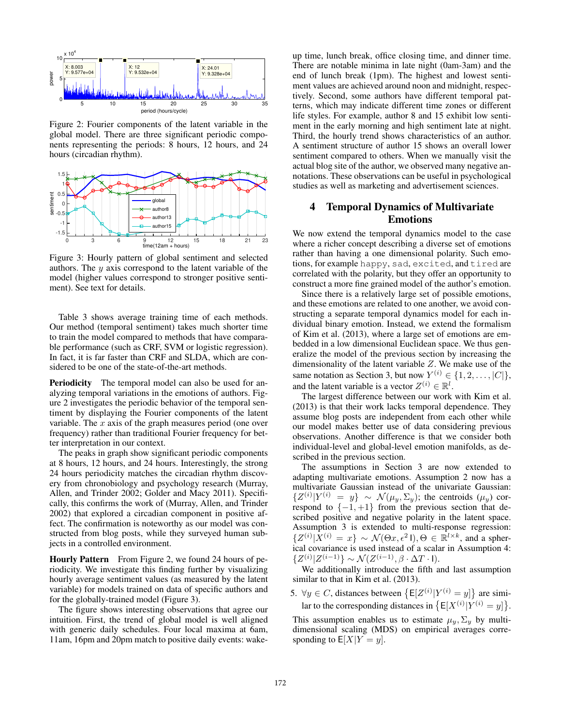

Figure 2: Fourier components of the latent variable in the global model. There are three significant periodic components representing the periods: 8 hours, 12 hours, and 24 hours (circadian rhythm).



Figure 3: Hourly pattern of global sentiment and selected authors. The  $y$  axis correspond to the latent variable of the model (higher values correspond to stronger positive sentiment). See text for details.

Table 3 shows average training time of each methods. Our method (temporal sentiment) takes much shorter time to train the model compared to methods that have comparable performance (such as CRF, SVM or logistic regression). In fact, it is far faster than CRF and SLDA, which are considered to be one of the state-of-the-art methods.

Periodicity The temporal model can also be used for analyzing temporal variations in the emotions of authors. Figure 2 investigates the periodic behavior of the temporal sentiment by displaying the Fourier components of the latent variable. The  $x$  axis of the graph measures period (one over frequency) rather than traditional Fourier frequency for better interpretation in our context.

The peaks in graph show significant periodic components at 8 hours, 12 hours, and 24 hours. Interestingly, the strong 24 hours periodicity matches the circadian rhythm discovery from chronobiology and psychology research (Murray, Allen, and Trinder 2002; Golder and Macy 2011). Specifically, this confirms the work of (Murray, Allen, and Trinder 2002) that explored a circadian component in positive affect. The confirmation is noteworthy as our model was constructed from blog posts, while they surveyed human subjects in a controlled environment.

Hourly Pattern From Figure 2, we found 24 hours of periodicity. We investigate this finding further by visualizing hourly average sentiment values (as measured by the latent variable) for models trained on data of specific authors and for the globally-trained model (Figure 3).

The figure shows interesting observations that agree our intuition. First, the trend of global model is well aligned with generic daily schedules. Four local maxima at 6am, 11am, 16pm and 20pm match to positive daily events: wake-

up time, lunch break, office closing time, and dinner time. There are notable minima in late night (0am-3am) and the end of lunch break (1pm). The highest and lowest sentiment values are achieved around noon and midnight, respectively. Second, some authors have different temporal patterns, which may indicate different time zones or different life styles. For example, author 8 and 15 exhibit low sentiment in the early morning and high sentiment late at night. Third, the hourly trend shows characteristics of an author. A sentiment structure of author 15 shows an overall lower sentiment compared to others. When we manually visit the actual blog site of the author, we observed many negative annotations. These observations can be useful in psychological studies as well as marketing and advertisement sciences.

## 4 Temporal Dynamics of Multivariate Emotions

We now extend the temporal dynamics model to the case where a richer concept describing a diverse set of emotions rather than having a one dimensional polarity. Such emotions, for example happy, sad, excited, and tired are correlated with the polarity, but they offer an opportunity to construct a more fine grained model of the author's emotion.

Since there is a relatively large set of possible emotions, and these emotions are related to one another, we avoid constructing a separate temporal dynamics model for each individual binary emotion. Instead, we extend the formalism of Kim et al. (2013), where a large set of emotions are embedded in a low dimensional Euclidean space. We thus generalize the model of the previous section by increasing the dimensionality of the latent variable Z. We make use of the same notation as Section 3, but now  $Y^{(i)} \in \{1, 2, ..., |C|\},$ and the latent variable is a vector  $Z^{(i)} \in \mathbb{R}^l$ .

The largest difference between our work with Kim et al. (2013) is that their work lacks temporal dependence. They assume blog posts are independent from each other while our model makes better use of data considering previous observations. Another difference is that we consider both individual-level and global-level emotion manifolds, as described in the previous section.

The assumptions in Section 3 are now extended to adapting multivariate emotions. Assumption 2 now has a multivariate Gaussian instead of the univariate Gaussian:  $\{Z^{(i)}|Y^{(i)} = y\} \sim \mathcal{N}(\mu_y, \Sigma_y)$ ; the centroids  $(\mu_y)$  correspond to  $\{-1, +1\}$  from the previous section that described positive and negative polarity in the latent space. Assumption 3 is extended to multi-response regression:  $\{Z^{(i)} | X^{(i)} = x\} \sim \mathcal{N}(\Theta x, \epsilon^2 I), \Theta \in \mathbb{R}^{l \times k}$ , and a spherical covariance is used instead of a scalar in Assumption 4:  $\{Z^{(i)}|Z^{(i-1)}\}\sim\mathcal{N}(Z^{(i-1)},\beta\cdot\Delta T\cdot\mathsf{I}).$ 

We additionally introduce the fifth and last assumption similar to that in Kim et al. (2013).

5.  $\forall y \in C$ , distances between  $\{E[Z^{(i)}|Y^{(i)} = y]\}$  are similar to the corresponding distances in  $\{E[X^{(i)}|Y^{(i)} = y]\}.$ 

This assumption enables us to estimate  $\mu_y$ ,  $\Sigma_y$  by multidimensional scaling (MDS) on empirical averages corresponding to  $E[X|Y=y]$ .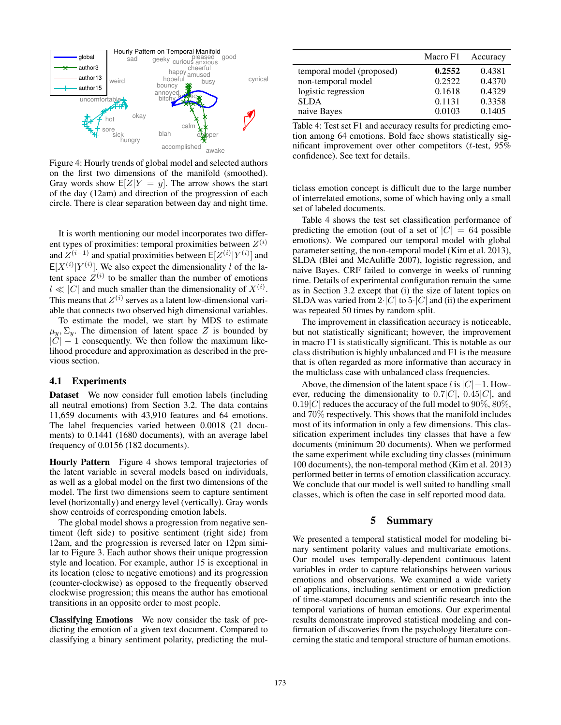

Figure 4: Hourly trends of global model and selected authors on the first two dimensions of the manifold (smoothed). Gray words show  $E[Z|Y = y]$ . The arrow shows the start of the day (12am) and direction of the progression of each circle. There is clear separation between day and night time.

It is worth mentioning our model incorporates two different types of proximities: temporal proximities between  $Z^{(i)}$ and  $Z^{(i-1)}$  and spatial proximities between  $\mathsf{E}[Z^{(i)}|Y^{(i)}]$  and  $E[X^{(i)}|Y^{(i)}]$ . We also expect the dimensionality l of the latent space  $Z^{(i)}$  to be smaller than the number of emotions  $l \ll |C|$  and much smaller than the dimensionality of  $X^{(i)}$ . This means that  $Z^{(i)}$  serves as a latent low-dimensional variable that connects two observed high dimensional variables.

To estimate the model, we start by MDS to estimate  $\mu_y$ ,  $\Sigma_y$ . The dimension of latent space Z is bounded by  $|C| - 1$  consequently. We then follow the maximum likelihood procedure and approximation as described in the previous section.

#### 4.1 Experiments

Dataset We now consider full emotion labels (including all neutral emotions) from Section 3.2. The data contains 11,659 documents with 43,910 features and 64 emotions. The label frequencies varied between 0.0018 (21 documents) to 0.1441 (1680 documents), with an average label frequency of 0.0156 (182 documents).

Hourly Pattern Figure 4 shows temporal trajectories of the latent variable in several models based on individuals, as well as a global model on the first two dimensions of the model. The first two dimensions seem to capture sentiment level (horizontally) and energy level (vertically). Gray words show centroids of corresponding emotion labels.

The global model shows a progression from negative sentiment (left side) to positive sentiment (right side) from 12am, and the progression is reversed later on 12pm similar to Figure 3. Each author shows their unique progression style and location. For example, author 15 is exceptional in its location (close to negative emotions) and its progression (counter-clockwise) as opposed to the frequently observed clockwise progression; this means the author has emotional transitions in an opposite order to most people.

Classifying Emotions We now consider the task of predicting the emotion of a given text document. Compared to classifying a binary sentiment polarity, predicting the mul-

|                           | Macro F1 | Accuracy |
|---------------------------|----------|----------|
| temporal model (proposed) | 0.2552   | 0.4381   |
| non-temporal model        | 0.2522   | 0.4370   |
| logistic regression       | 0.1618   | 0.4329   |
| <b>SLDA</b>               | 0.1131   | 0.3358   |
| naive Bayes               | 0.0103   | 0.1405   |

Table 4: Test set F1 and accuracy results for predicting emotion among 64 emotions. Bold face shows statistically significant improvement over other competitors (t-test, 95% confidence). See text for details.

ticlass emotion concept is difficult due to the large number of interrelated emotions, some of which having only a small set of labeled documents.

Table 4 shows the test set classification performance of predicting the emotion (out of a set of  $|C| = 64$  possible emotions). We compared our temporal model with global parameter setting, the non-temporal model (Kim et al. 2013), SLDA (Blei and McAuliffe 2007), logistic regression, and naive Bayes. CRF failed to converge in weeks of running time. Details of experimental configuration remain the same as in Section 3.2 except that (i) the size of latent topics on SLDA was varied from  $2\cdot|C|$  to  $5\cdot|C|$  and (ii) the experiment was repeated 50 times by random split.

The improvement in classification accuracy is noticeable, but not statistically significant; however, the improvement in macro F1 is statistically significant. This is notable as our class distribution is highly unbalanced and F1 is the measure that is often regarded as more informative than accuracy in the multiclass case with unbalanced class frequencies.

Above, the dimension of the latent space l is  $|C|-1$ . However, reducing the dimensionality to  $0.7|C|$ ,  $0.45|C|$ , and  $0.19|C|$  reduces the accuracy of the full model to  $90\%$ ,  $80\%$ , and 70% respectively. This shows that the manifold includes most of its information in only a few dimensions. This classification experiment includes tiny classes that have a few documents (minimum 20 documents). When we performed the same experiment while excluding tiny classes (minimum 100 documents), the non-temporal method (Kim et al. 2013) performed better in terms of emotion classification accuracy. We conclude that our model is well suited to handling small classes, which is often the case in self reported mood data.

## 5 Summary

We presented a temporal statistical model for modeling binary sentiment polarity values and multivariate emotions. Our model uses temporally-dependent continuous latent variables in order to capture relationships between various emotions and observations. We examined a wide variety of applications, including sentiment or emotion prediction of time-stamped documents and scientific research into the temporal variations of human emotions. Our experimental results demonstrate improved statistical modeling and confirmation of discoveries from the psychology literature concerning the static and temporal structure of human emotions.